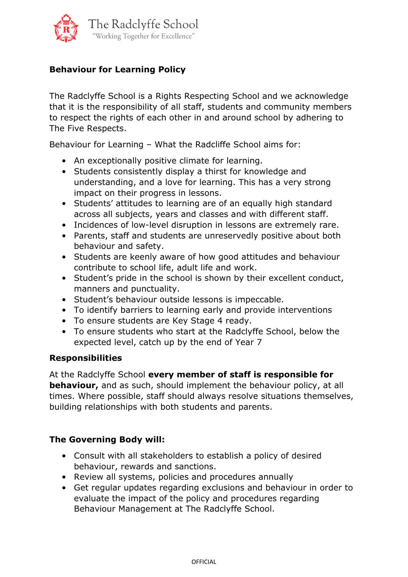

# **Behaviour for Learning Policy**

The Radclyffe School is a Rights Respecting School and we acknowledge that it is the responsibility of all staff, students and community members to respect the rights of each other in and around school by adhering to The Five Respects.

Behaviour for Learning – What the Radcliffe School aims for:

- An exceptionally positive climate for learning.
- Students consistently display a thirst for knowledge and understanding, and a love for learning. This has a very strong impact on their progress in lessons.
- Students' attitudes to learning are of an equally high standard across all subjects, years and classes and with different staff.
- Incidences of low-level disruption in lessons are extremely rare.
- Parents, staff and students are unreservedly positive about both behaviour and safety.
- Students are keenly aware of how good attitudes and behaviour contribute to school life, adult life and work.
- Student's pride in the school is shown by their excellent conduct, manners and punctuality.
- Student's behaviour outside lessons is impeccable.
- To identify barriers to learning early and provide interventions
- To ensure students are Key Stage 4 ready.
- To ensure students who start at the Radclyffe School, below the expected level, catch up by the end of Year 7

#### **Responsibilities**

At the Radclyffe School **every member of staff is responsible for behaviour,** and as such, should implement the behaviour policy, at all times. Where possible, staff should always resolve situations themselves, building relationships with both students and parents.

### **The Governing Body will:**

- Consult with all stakeholders to establish a policy of desired behaviour, rewards and sanctions.
- Review all systems, policies and procedures annually
- Get regular updates regarding exclusions and behaviour in order to evaluate the impact of the policy and procedures regarding Behaviour Management at The Radclyffe School.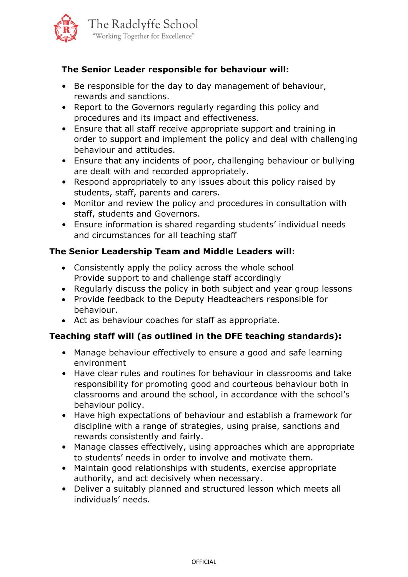

### **The Senior Leader responsible for behaviour will:**

- Be responsible for the day to day management of behaviour, rewards and sanctions.
- Report to the Governors regularly regarding this policy and procedures and its impact and effectiveness.
- Ensure that all staff receive appropriate support and training in order to support and implement the policy and deal with challenging behaviour and attitudes.
- Ensure that any incidents of poor, challenging behaviour or bullying are dealt with and recorded appropriately.
- Respond appropriately to any issues about this policy raised by students, staff, parents and carers.
- Monitor and review the policy and procedures in consultation with staff, students and Governors.
- Ensure information is shared regarding students' individual needs and circumstances for all teaching staff

### **The Senior Leadership Team and Middle Leaders will:**

- Consistently apply the policy across the whole school Provide support to and challenge staff accordingly
- Regularly discuss the policy in both subject and year group lessons
- Provide feedback to the Deputy Headteachers responsible for behaviour.
- Act as behaviour coaches for staff as appropriate.

### **Teaching staff will (as outlined in the DFE teaching standards):**

- Manage behaviour effectively to ensure a good and safe learning environment
- Have clear rules and routines for behaviour in classrooms and take responsibility for promoting good and courteous behaviour both in classrooms and around the school, in accordance with the school's behaviour policy.
- Have high expectations of behaviour and establish a framework for discipline with a range of strategies, using praise, sanctions and rewards consistently and fairly.
- Manage classes effectively, using approaches which are appropriate to students' needs in order to involve and motivate them.
- Maintain good relationships with students, exercise appropriate authority, and act decisively when necessary.
- Deliver a suitably planned and structured lesson which meets all individuals' needs.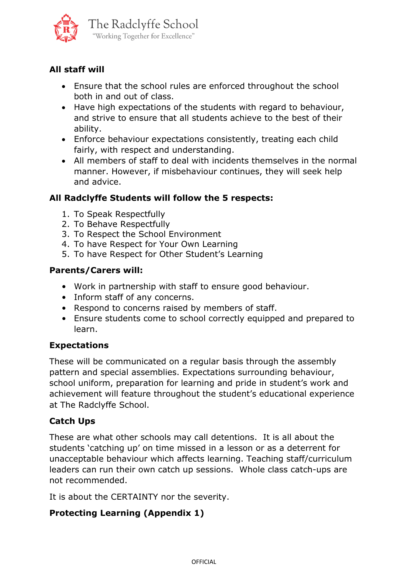

# **All staff will**

- Ensure that the school rules are enforced throughout the school both in and out of class.
- Have high expectations of the students with regard to behaviour, and strive to ensure that all students achieve to the best of their ability.
- Enforce behaviour expectations consistently, treating each child fairly, with respect and understanding.
- All members of staff to deal with incidents themselves in the normal manner. However, if misbehaviour continues, they will seek help and advice.

# **All Radclyffe Students will follow the 5 respects:**

- 1. To Speak Respectfully
- 2. To Behave Respectfully
- 3. To Respect the School Environment
- 4. To have Respect for Your Own Learning
- 5. To have Respect for Other Student's Learning

### **Parents/Carers will:**

- Work in partnership with staff to ensure good behaviour.
- Inform staff of any concerns.
- Respond to concerns raised by members of staff.
- Ensure students come to school correctly equipped and prepared to learn.

### **Expectations**

These will be communicated on a regular basis through the assembly pattern and special assemblies. Expectations surrounding behaviour, school uniform, preparation for learning and pride in student's work and achievement will feature throughout the student's educational experience at The Radclyffe School.

# **Catch Ups**

These are what other schools may call detentions. It is all about the students 'catching up' on time missed in a lesson or as a deterrent for unacceptable behaviour which affects learning. Teaching staff/curriculum leaders can run their own catch up sessions. Whole class catch-ups are not recommended.

It is about the CERTAINTY nor the severity.

# **Protecting Learning (Appendix 1)**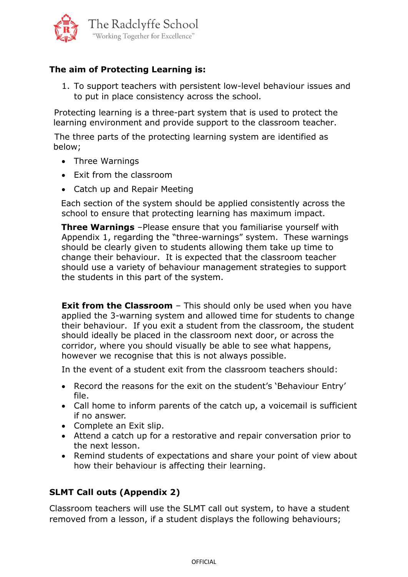

# **The aim of Protecting Learning is:**

1. To support teachers with persistent low-level behaviour issues and to put in place consistency across the school.

 Protecting learning is a three-part system that is used to protect the learning environment and provide support to the classroom teacher.

 The three parts of the protecting learning system are identified as below;

- Three Warnings
- Exit from the classroom
- Catch up and Repair Meeting

Each section of the system should be applied consistently across the school to ensure that protecting learning has maximum impact.

 **Three Warnings** –Please ensure that you familiarise yourself with Appendix 1, regarding the "three-warnings" system. These warnings should be clearly given to students allowing them take up time to change their behaviour. It is expected that the classroom teacher should use a variety of behaviour management strategies to support the students in this part of the system.

**Exit from the Classroom** – This should only be used when you have applied the 3-warning system and allowed time for students to change their behaviour. If you exit a student from the classroom, the student should ideally be placed in the classroom next door, or across the corridor, where you should visually be able to see what happens, however we recognise that this is not always possible.

In the event of a student exit from the classroom teachers should:

- Record the reasons for the exit on the student's 'Behaviour Entry' file.
- Call home to inform parents of the catch up, a voicemail is sufficient if no answer.
- Complete an Exit slip.
- Attend a catch up for a restorative and repair conversation prior to the next lesson.
- Remind students of expectations and share your point of view about how their behaviour is affecting their learning.

# **SLMT Call outs (Appendix 2)**

Classroom teachers will use the SLMT call out system, to have a student removed from a lesson, if a student displays the following behaviours;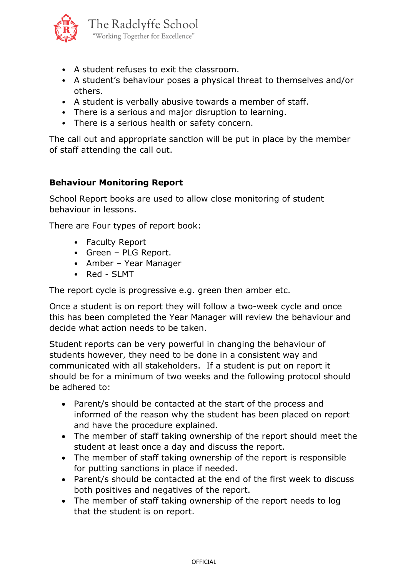

- A student refuses to exit the classroom.
- A student's behaviour poses a physical threat to themselves and/or others.
- A student is verbally abusive towards a member of staff.
- There is a serious and major disruption to learning.
- There is a serious health or safety concern.

The call out and appropriate sanction will be put in place by the member of staff attending the call out.

#### **Behaviour Monitoring Report**

School Report books are used to allow close monitoring of student behaviour in lessons.

There are Four types of report book:

- Faculty Report
- Green PLG Report.
- Amber Year Manager
- Red SLMT

The report cycle is progressive e.g. green then amber etc.

Once a student is on report they will follow a two-week cycle and once this has been completed the Year Manager will review the behaviour and decide what action needs to be taken.

Student reports can be very powerful in changing the behaviour of students however, they need to be done in a consistent way and communicated with all stakeholders. If a student is put on report it should be for a minimum of two weeks and the following protocol should be adhered to:

- Parent/s should be contacted at the start of the process and informed of the reason why the student has been placed on report and have the procedure explained.
- The member of staff taking ownership of the report should meet the student at least once a day and discuss the report.
- The member of staff taking ownership of the report is responsible for putting sanctions in place if needed.
- Parent/s should be contacted at the end of the first week to discuss both positives and negatives of the report.
- The member of staff taking ownership of the report needs to log that the student is on report.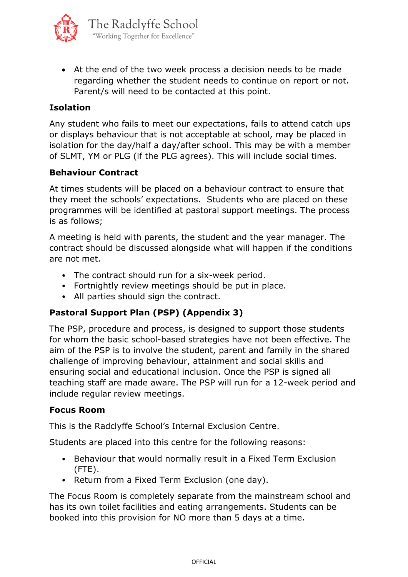

• At the end of the two week process a decision needs to be made regarding whether the student needs to continue on report or not. Parent/s will need to be contacted at this point.

### **Isolation**

Any student who fails to meet our expectations, fails to attend catch ups or displays behaviour that is not acceptable at school, may be placed in isolation for the day/half a day/after school. This may be with a member of SLMT, YM or PLG (if the PLG agrees). This will include social times.

#### **Behaviour Contract**

At times students will be placed on a behaviour contract to ensure that they meet the schools' expectations. Students who are placed on these programmes will be identified at pastoral support meetings. The process is as follows;

A meeting is held with parents, the student and the year manager. The contract should be discussed alongside what will happen if the conditions are not met.

- The contract should run for a six-week period.
- Fortnightly review meetings should be put in place.
- All parties should sign the contract.

### **Pastoral Support Plan (PSP) (Appendix 3)**

The PSP, procedure and process, is designed to support those students for whom the basic school-based strategies have not been effective. The aim of the PSP is to involve the student, parent and family in the shared challenge of improving behaviour, attainment and social skills and ensuring social and educational inclusion. Once the PSP is signed all teaching staff are made aware. The PSP will run for a 12-week period and include regular review meetings.

#### **Focus Room**

This is the Radclyffe School's Internal Exclusion Centre.

Students are placed into this centre for the following reasons:

- Behaviour that would normally result in a Fixed Term Exclusion (FTE).
- Return from a Fixed Term Exclusion (one day).

The Focus Room is completely separate from the mainstream school and has its own toilet facilities and eating arrangements. Students can be booked into this provision for NO more than 5 days at a time.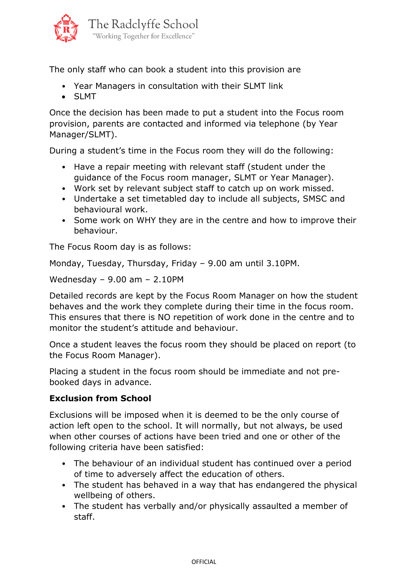

The only staff who can book a student into this provision are

- Year Managers in consultation with their SLMT link
- SLMT

Once the decision has been made to put a student into the Focus room provision, parents are contacted and informed via telephone (by Year Manager/SLMT).

During a student's time in the Focus room they will do the following:

- Have a repair meeting with relevant staff (student under the guidance of the Focus room manager, SLMT or Year Manager).
- Work set by relevant subject staff to catch up on work missed.
- Undertake a set timetabled day to include all subjects, SMSC and behavioural work.
- Some work on WHY they are in the centre and how to improve their behaviour.

The Focus Room day is as follows:

Monday, Tuesday, Thursday, Friday – 9.00 am until 3.10PM.

Wednesday – 9.00 am – 2.10PM

Detailed records are kept by the Focus Room Manager on how the student behaves and the work they complete during their time in the focus room. This ensures that there is NO repetition of work done in the centre and to monitor the student's attitude and behaviour.

Once a student leaves the focus room they should be placed on report (to the Focus Room Manager).

Placing a student in the focus room should be immediate and not prebooked days in advance.

#### **Exclusion from School**

Exclusions will be imposed when it is deemed to be the only course of action left open to the school. It will normally, but not always, be used when other courses of actions have been tried and one or other of the following criteria have been satisfied:

- The behaviour of an individual student has continued over a period of time to adversely affect the education of others.
- The student has behaved in a way that has endangered the physical wellbeing of others.
- The student has verbally and/or physically assaulted a member of staff.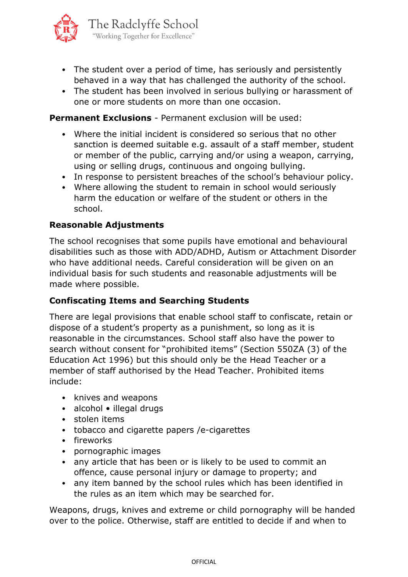

- The student over a period of time, has seriously and persistently behaved in a way that has challenged the authority of the school.
- The student has been involved in serious bullying or harassment of one or more students on more than one occasion.

#### **Permanent Exclusions** - Permanent exclusion will be used:

- Where the initial incident is considered so serious that no other sanction is deemed suitable e.g. assault of a staff member, student or member of the public, carrying and/or using a weapon, carrying, using or selling drugs, continuous and ongoing bullying.
- In response to persistent breaches of the school's behaviour policy.
- Where allowing the student to remain in school would seriously harm the education or welfare of the student or others in the school.

#### **Reasonable Adjustments**

The school recognises that some pupils have emotional and behavioural disabilities such as those with ADD/ADHD, Autism or Attachment Disorder who have additional needs. Careful consideration will be given on an individual basis for such students and reasonable adjustments will be made where possible.

#### **Confiscating Items and Searching Students**

There are legal provisions that enable school staff to confiscate, retain or dispose of a student's property as a punishment, so long as it is reasonable in the circumstances. School staff also have the power to search without consent for "prohibited items" (Section 550ZA (3) of the Education Act 1996) but this should only be the Head Teacher or a member of staff authorised by the Head Teacher. Prohibited items include:

- knives and weapons
- alcohol illegal drugs
- stolen items
- tobacco and cigarette papers /e-cigarettes
- fireworks
- pornographic images
- any article that has been or is likely to be used to commit an offence, cause personal injury or damage to property; and
- any item banned by the school rules which has been identified in the rules as an item which may be searched for.

Weapons, drugs, knives and extreme or child pornography will be handed over to the police. Otherwise, staff are entitled to decide if and when to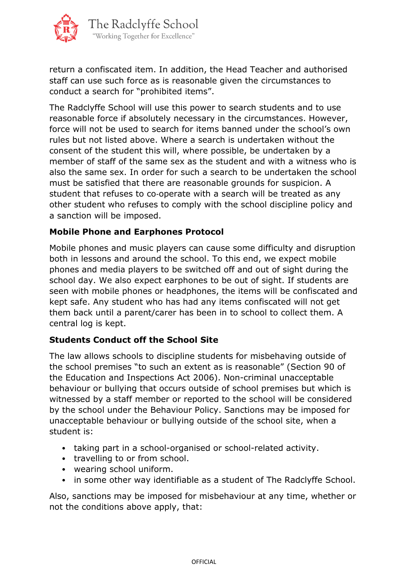

return a confiscated item. In addition, the Head Teacher and authorised staff can use such force as is reasonable given the circumstances to conduct a search for "prohibited items".

The Radclyffe School will use this power to search students and to use reasonable force if absolutely necessary in the circumstances. However, force will not be used to search for items banned under the school's own rules but not listed above. Where a search is undertaken without the consent of the student this will, where possible, be undertaken by a member of staff of the same sex as the student and with a witness who is also the same sex. In order for such a search to be undertaken the school must be satisfied that there are reasonable grounds for suspicion. A student that refuses to co-operate with a search will be treated as any other student who refuses to comply with the school discipline policy and a sanction will be imposed.

#### **Mobile Phone and Earphones Protocol**

Mobile phones and music players can cause some difficulty and disruption both in lessons and around the school. To this end, we expect mobile phones and media players to be switched off and out of sight during the school day. We also expect earphones to be out of sight. If students are seen with mobile phones or headphones, the items will be confiscated and kept safe. Any student who has had any items confiscated will not get them back until a parent/carer has been in to school to collect them. A central log is kept.

#### **Students Conduct off the School Site**

The law allows schools to discipline students for misbehaving outside of the school premises "to such an extent as is reasonable" (Section 90 of the Education and Inspections Act 2006). Non-criminal unacceptable behaviour or bullying that occurs outside of school premises but which is witnessed by a staff member or reported to the school will be considered by the school under the Behaviour Policy. Sanctions may be imposed for unacceptable behaviour or bullying outside of the school site, when a student is:

- taking part in a school-organised or school-related activity.
- travelling to or from school.
- wearing school uniform.
- in some other way identifiable as a student of The Radclyffe School.

Also, sanctions may be imposed for misbehaviour at any time, whether or not the conditions above apply, that: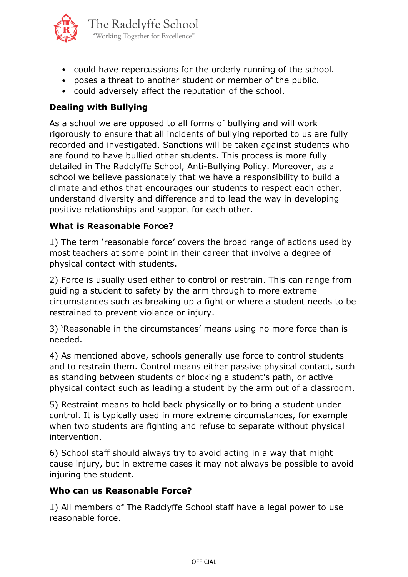

- could have repercussions for the orderly running of the school.
- poses a threat to another student or member of the public.
- could adversely affect the reputation of the school.

### **Dealing with Bullying**

As a school we are opposed to all forms of bullying and will work rigorously to ensure that all incidents of bullying reported to us are fully recorded and investigated. Sanctions will be taken against students who are found to have bullied other students. This process is more fully detailed in The Radclyffe School, Anti-Bullying Policy. Moreover, as a school we believe passionately that we have a responsibility to build a climate and ethos that encourages our students to respect each other, understand diversity and difference and to lead the way in developing positive relationships and support for each other.

#### **What is Reasonable Force?**

1) The term 'reasonable force' covers the broad range of actions used by most teachers at some point in their career that involve a degree of physical contact with students.

2) Force is usually used either to control or restrain. This can range from guiding a student to safety by the arm through to more extreme circumstances such as breaking up a fight or where a student needs to be restrained to prevent violence or injury.

3) 'Reasonable in the circumstances' means using no more force than is needed.

4) As mentioned above, schools generally use force to control students and to restrain them. Control means either passive physical contact, such as standing between students or blocking a student's path, or active physical contact such as leading a student by the arm out of a classroom.

5) Restraint means to hold back physically or to bring a student under control. It is typically used in more extreme circumstances, for example when two students are fighting and refuse to separate without physical intervention.

6) School staff should always try to avoid acting in a way that might cause injury, but in extreme cases it may not always be possible to avoid injuring the student.

#### **Who can us Reasonable Force?**

1) All members of The Radclyffe School staff have a legal power to use reasonable force.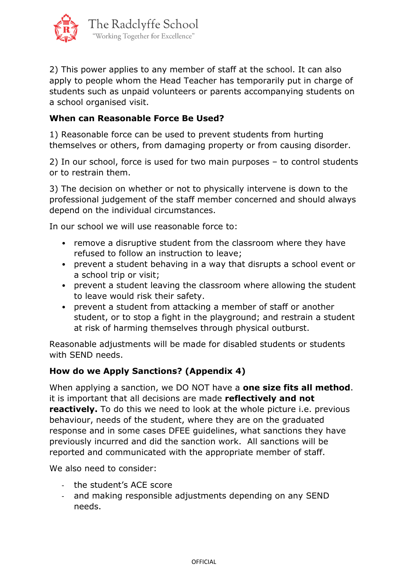

2) This power applies to any member of staff at the school. It can also apply to people whom the Head Teacher has temporarily put in charge of students such as unpaid volunteers or parents accompanying students on a school organised visit.

### **When can Reasonable Force Be Used?**

1) Reasonable force can be used to prevent students from hurting themselves or others, from damaging property or from causing disorder.

2) In our school, force is used for two main purposes – to control students or to restrain them.

3) The decision on whether or not to physically intervene is down to the professional judgement of the staff member concerned and should always depend on the individual circumstances.

In our school we will use reasonable force to:

- remove a disruptive student from the classroom where they have refused to follow an instruction to leave;
- prevent a student behaving in a way that disrupts a school event or a school trip or visit;
- prevent a student leaving the classroom where allowing the student to leave would risk their safety.
- prevent a student from attacking a member of staff or another student, or to stop a fight in the playground; and restrain a student at risk of harming themselves through physical outburst.

Reasonable adjustments will be made for disabled students or students with SEND needs.

### **How do we Apply Sanctions? (Appendix 4)**

When applying a sanction, we DO NOT have a **one size fits all method**. it is important that all decisions are made **reflectively and not reactively.** To do this we need to look at the whole picture i.e. previous behaviour, needs of the student, where they are on the graduated response and in some cases DFEE guidelines, what sanctions they have previously incurred and did the sanction work. All sanctions will be reported and communicated with the appropriate member of staff.

We also need to consider:

- the student's ACE score
- and making responsible adjustments depending on any SEND needs.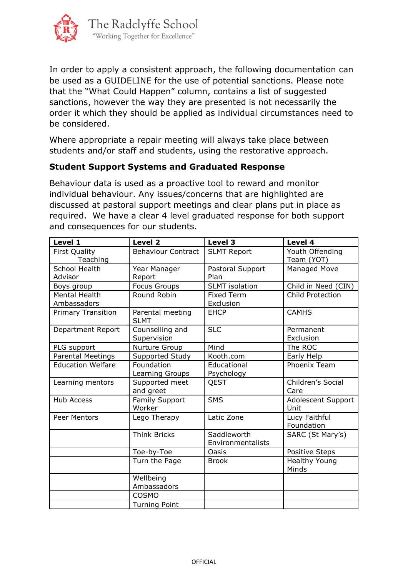

In order to apply a consistent approach, the following documentation can be used as a GUIDELINE for the use of potential sanctions. Please note that the "What Could Happen" column, contains a list of suggested sanctions, however the way they are presented is not necessarily the order it which they should be applied as individual circumstances need to be considered.

Where appropriate a repair meeting will always take place between students and/or staff and students, using the restorative approach.

#### **Student Support Systems and Graduated Response**

Behaviour data is used as a proactive tool to reward and monitor individual behaviour. Any issues/concerns that are highlighted are discussed at pastoral support meetings and clear plans put in place as required. We have a clear 4 level graduated response for both support and consequences for our students.

| Level 1                             | Level 2                         | Level 3                          | Level 4                       |
|-------------------------------------|---------------------------------|----------------------------------|-------------------------------|
| <b>First Quality</b><br>Teaching    | <b>Behaviour Contract</b>       | <b>SLMT Report</b>               | Youth Offending<br>Team (YOT) |
| <b>School Health</b><br>Advisor     | Year Manager<br>Report          | Pastoral Support<br>Plan         | Managed Move                  |
| Boys group                          | <b>Focus Groups</b>             | <b>SLMT</b> isolation            | Child in Need (CIN)           |
| <b>Mental Health</b><br>Ambassadors | Round Robin                     | <b>Fixed Term</b><br>Exclusion   | Child Protection              |
| <b>Primary Transition</b>           | Parental meeting<br><b>SLMT</b> | <b>EHCP</b>                      | <b>CAMHS</b>                  |
| Department Report                   | Counselling and<br>Supervision  | <b>SLC</b>                       | Permanent<br>Exclusion        |
| PLG support                         | Nurture Group                   | Mind                             | The ROC                       |
| Parental Meetings                   | Supported Study                 | Kooth.com                        | Early Help                    |
| <b>Education Welfare</b>            | Foundation<br>Learning Groups   | Educational<br>Psychology        | Phoenix Team                  |
| Learning mentors                    | Supported meet<br>and greet     | QEST                             | Children's Social<br>Care     |
| <b>Hub Access</b>                   | Family Support<br>Worker        | <b>SMS</b>                       | Adolescent Support<br>Unit    |
| Peer Mentors                        | Lego Therapy                    | Latic Zone                       | Lucy Faithful<br>Foundation   |
|                                     | <b>Think Bricks</b>             | Saddleworth<br>Environmentalists | SARC (St Mary's)              |
|                                     | Toe-by-Toe                      | Oasis                            | Positive Steps                |
|                                     | Turn the Page                   | <b>Brook</b>                     | <b>Healthy Young</b><br>Minds |
|                                     | Wellbeing<br>Ambassadors        |                                  |                               |
|                                     | COSMO                           |                                  |                               |
|                                     | <b>Turning Point</b>            |                                  |                               |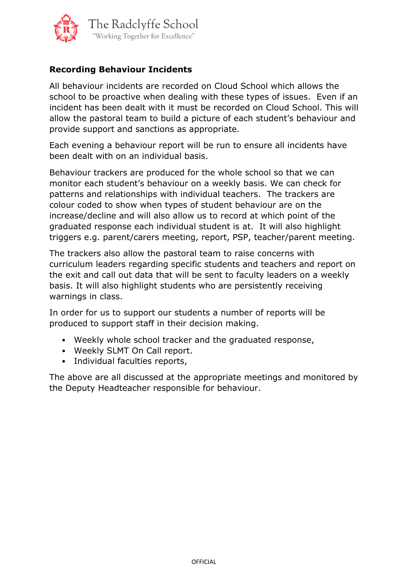

## **Recording Behaviour Incidents**

All behaviour incidents are recorded on Cloud School which allows the school to be proactive when dealing with these types of issues. Even if an incident has been dealt with it must be recorded on Cloud School. This will allow the pastoral team to build a picture of each student's behaviour and provide support and sanctions as appropriate.

Each evening a behaviour report will be run to ensure all incidents have been dealt with on an individual basis.

Behaviour trackers are produced for the whole school so that we can monitor each student's behaviour on a weekly basis. We can check for patterns and relationships with individual teachers. The trackers are colour coded to show when types of student behaviour are on the increase/decline and will also allow us to record at which point of the graduated response each individual student is at. It will also highlight triggers e.g. parent/carers meeting, report, PSP, teacher/parent meeting.

The trackers also allow the pastoral team to raise concerns with curriculum leaders regarding specific students and teachers and report on the exit and call out data that will be sent to faculty leaders on a weekly basis. It will also highlight students who are persistently receiving warnings in class.

In order for us to support our students a number of reports will be produced to support staff in their decision making.

- Weekly whole school tracker and the graduated response,
- Weekly SLMT On Call report.
- Individual faculties reports,

The above are all discussed at the appropriate meetings and monitored by the Deputy Headteacher responsible for behaviour.